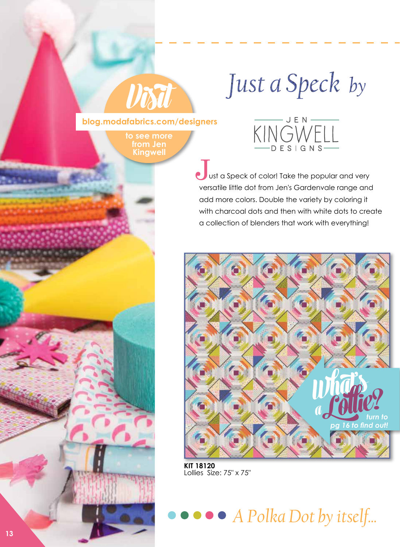# Just a Speck by

**blog.modafabrics.com/designers**

**Visit**

**to see more from Jen Kingwel** 



ust a Speck of color! Take the popular and very versatile little dot from Jen's Gardenvale range and add more colors. Double the variety by coloring it with charcoal dots and then with white dots to create a collection of blenders that work with everything! J.



**KIT 18120**  Lollies Size: 75" x 75"

**• A Polka Dot by itself...**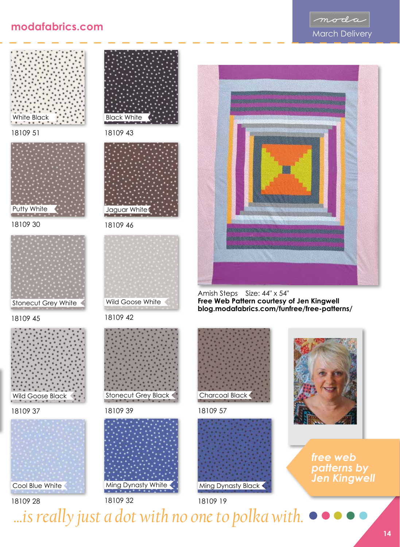







18109 30



18109 45



18109 37



18109 28



18109 43



18109 46



18109 42



18109 39



18109 19 18109 32



Amish Steps Size: 44" x 54" **Free Web Pattern courtesy of Jen Kingwell blog.modafabrics.com/funfree/free-patterns/** 



18109 57





*free web patterns by Jen Kingwell*

*A Polka Dot by itself... ...is really just a dot with no one to polka with.*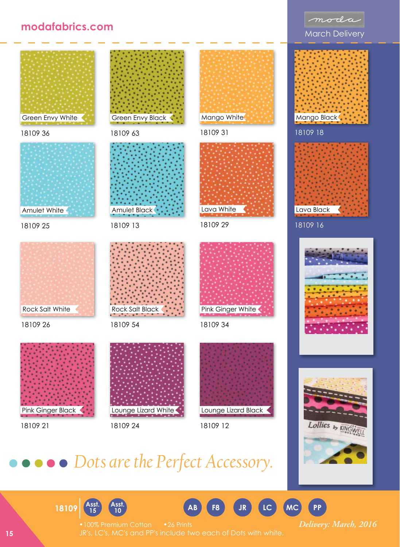#### **modafabrics.com**



## *Dots are the Perfect Accessory.*





moda

**Asst. <sup>18109</sup> <sup>15</sup>**